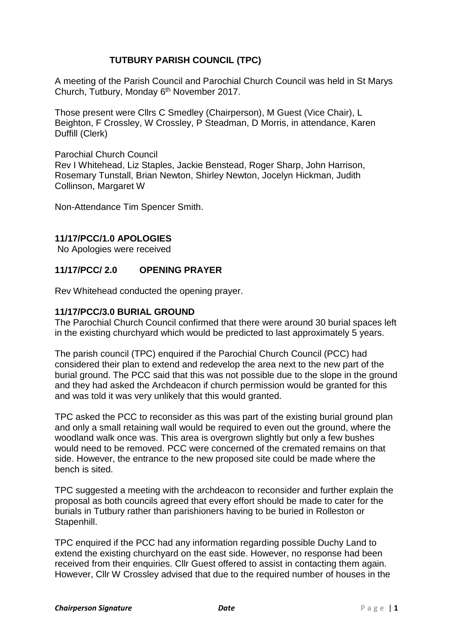# **TUTBURY PARISH COUNCIL (TPC)**

A meeting of the Parish Council and Parochial Church Council was held in St Marys Church, Tutbury, Monday 6<sup>th</sup> November 2017.

Those present were Cllrs C Smedley (Chairperson), M Guest (Vice Chair), L Beighton, F Crossley, W Crossley, P Steadman, D Morris, in attendance, Karen Duffill (Clerk)

#### Parochial Church Council

Rev I Whitehead, Liz Staples, Jackie Benstead, Roger Sharp, John Harrison, Rosemary Tunstall, Brian Newton, Shirley Newton, Jocelyn Hickman, Judith Collinson, Margaret W

Non-Attendance Tim Spencer Smith.

# **11/17/PCC/1.0 APOLOGIES**

No Apologies were received

# **11/17/PCC/ 2.0 OPENING PRAYER**

Rev Whitehead conducted the opening prayer.

## **11/17/PCC/3.0 BURIAL GROUND**

The Parochial Church Council confirmed that there were around 30 burial spaces left in the existing churchyard which would be predicted to last approximately 5 years.

The parish council (TPC) enquired if the Parochial Church Council (PCC) had considered their plan to extend and redevelop the area next to the new part of the burial ground. The PCC said that this was not possible due to the slope in the ground and they had asked the Archdeacon if church permission would be granted for this and was told it was very unlikely that this would granted.

TPC asked the PCC to reconsider as this was part of the existing burial ground plan and only a small retaining wall would be required to even out the ground, where the woodland walk once was. This area is overgrown slightly but only a few bushes would need to be removed. PCC were concerned of the cremated remains on that side. However, the entrance to the new proposed site could be made where the bench is sited.

TPC suggested a meeting with the archdeacon to reconsider and further explain the proposal as both councils agreed that every effort should be made to cater for the burials in Tutbury rather than parishioners having to be buried in Rolleston or Stapenhill.

TPC enquired if the PCC had any information regarding possible Duchy Land to extend the existing churchyard on the east side. However, no response had been received from their enquiries. Cllr Guest offered to assist in contacting them again. However, Cllr W Crossley advised that due to the required number of houses in the